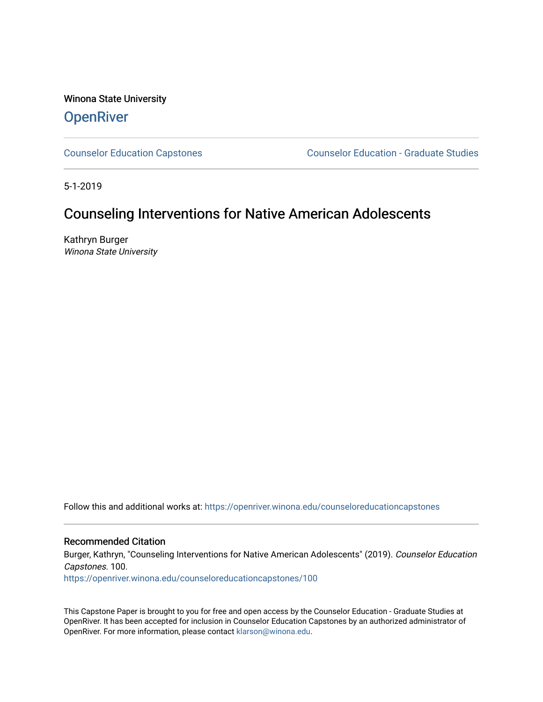Winona State University **OpenRiver** 

[Counselor Education Capstones](https://openriver.winona.edu/counseloreducationcapstones) [Counselor Education - Graduate Studies](https://openriver.winona.edu/counseloreducation) 

5-1-2019

# Counseling Interventions for Native American Adolescents

Kathryn Burger Winona State University

Follow this and additional works at: [https://openriver.winona.edu/counseloreducationcapstones](https://openriver.winona.edu/counseloreducationcapstones?utm_source=openriver.winona.edu%2Fcounseloreducationcapstones%2F100&utm_medium=PDF&utm_campaign=PDFCoverPages)

## Recommended Citation

Burger, Kathryn, "Counseling Interventions for Native American Adolescents" (2019). Counselor Education Capstones. 100.

[https://openriver.winona.edu/counseloreducationcapstones/100](https://openriver.winona.edu/counseloreducationcapstones/100?utm_source=openriver.winona.edu%2Fcounseloreducationcapstones%2F100&utm_medium=PDF&utm_campaign=PDFCoverPages)

This Capstone Paper is brought to you for free and open access by the Counselor Education - Graduate Studies at OpenRiver. It has been accepted for inclusion in Counselor Education Capstones by an authorized administrator of OpenRiver. For more information, please contact [klarson@winona.edu](mailto:klarson@winona.edu).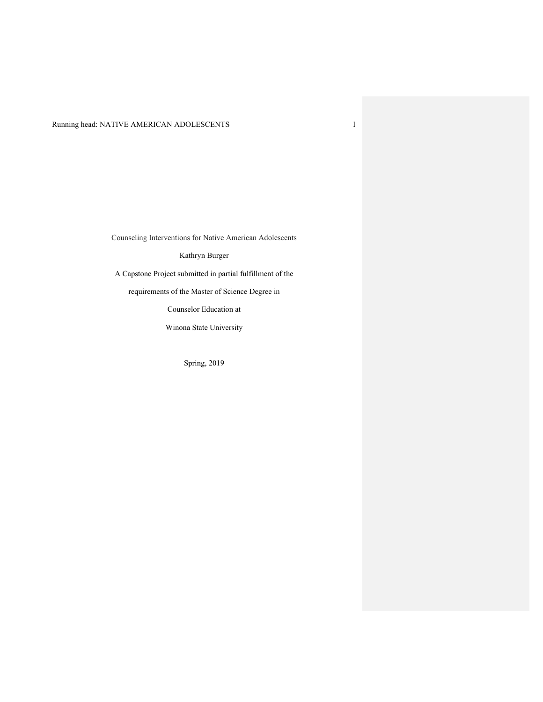## Running head: NATIVE AMERICAN ADOLESCENTS 1

Counseling Interventions for Native American Adolescents

Kathryn Burger

A Capstone Project submitted in partial fulfillment of the

requirements of the Master of Science Degree in

Counselor Education at

Winona State University

Spring, 2019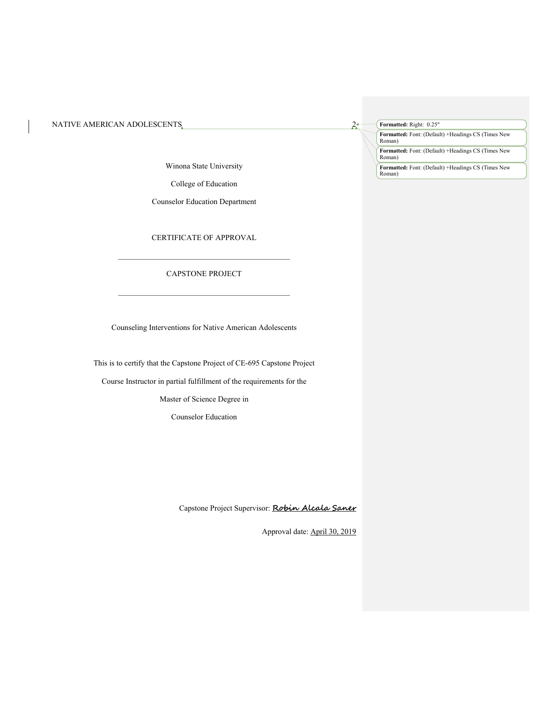Winona State University

College of Education

Counselor Education Department

CERTIFICATE OF APPROVAL

## $\mathcal{L}_\text{max}$  and the contract of the contract of the contract of the contract of the contract of the contract of the contract of the contract of the contract of the contract of the contract of the contract of the contrac CAPSTONE PROJECT

 $\mathcal{L}_\text{max}$  and the contract of the contract of the contract of the contract of the contract of the contract of the contract of the contract of the contract of the contract of the contract of the contract of the contrac

Counseling Interventions for Native American Adolescents

This is to certify that the Capstone Project of CE-695 Capstone Project

Course Instructor in partial fulfillment of the requirements for the

Master of Science Degree in

Counselor Education

Capstone Project Supervisor: **Robin Alcala Saner**

Approval date: April 30, 2019

**Formatted:** Right: 0.25"

**Formatted:** Font: (Default) +Headings CS (Times New Roman)

**Formatted:** Font: (Default) +Headings CS (Times New Roman)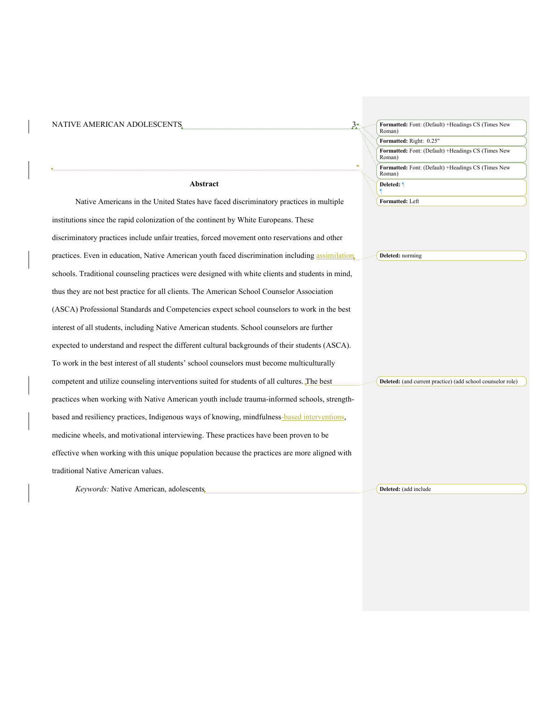| NATIVE AMERICAN ADOLESCENTS                                                                      | $3+$ | Formatted: Font: (Default) +Headings CS (Times New<br>Roman) |
|--------------------------------------------------------------------------------------------------|------|--------------------------------------------------------------|
|                                                                                                  |      | Formatted: Right: 0.25"                                      |
|                                                                                                  |      | Formatted: Font: (Default) +Headings CS (Times New<br>Roman) |
|                                                                                                  |      | Formatted: Font: (Default) +Headings CS (Times New<br>Roman) |
| Abstract                                                                                         |      | Deleted: ¶                                                   |
| Native Americans in the United States have faced discriminatory practices in multiple            |      | Formatted: Left                                              |
| institutions since the rapid colonization of the continent by White Europeans. These             |      |                                                              |
| discriminatory practices include unfair treaties, forced movement onto reservations and other    |      |                                                              |
| practices. Even in education, Native American youth faced discrimination including assimilation, |      | Deleted: norming                                             |
| schools. Traditional counseling practices were designed with white clients and students in mind, |      |                                                              |
| thus they are not best practice for all clients. The American School Counselor Association       |      |                                                              |
| (ASCA) Professional Standards and Competencies expect school counselors to work in the best      |      |                                                              |
| interest of all students, including Native American students. School counselors are further      |      |                                                              |
| expected to understand and respect the different cultural backgrounds of their students (ASCA).  |      |                                                              |
| To work in the best interest of all students' school counselors must become multiculturally      |      |                                                              |
| competent and utilize counseling interventions suited for students of all cultures. The best     |      | Deleted: (and current practice) (add school counselor role)  |
| practices when working with Native American youth include trauma-informed schools, strength-     |      |                                                              |
| based and resiliency practices, Indigenous ways of knowing, mindfulness-based interventions,     |      |                                                              |
| medicine wheels, and motivational interviewing. These practices have been proven to be           |      |                                                              |
| effective when working with this unique population because the practices are more aligned with   |      |                                                              |
| traditional Native American values.                                                              |      |                                                              |
| Keywords: Native American, adolescents                                                           |      | Deleted: (add include                                        |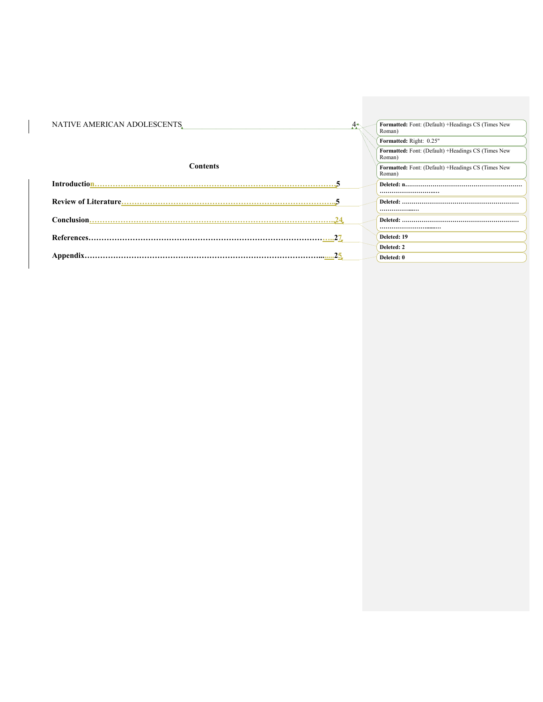| NATIVE AMERICAN ADOLESCENTS. | $A^*$ | Formatted: Font: (Default) +Headings CS (Times New<br>Roman) |
|------------------------------|-------|--------------------------------------------------------------|
|                              |       | Formatted: Right: 0.25"                                      |
|                              |       | Formatted: Font: (Default) +Headings CS (Times New<br>Roman) |
| <b>Contents</b>              |       | Formatted: Font: (Default) +Headings CS (Times New<br>Roman) |
|                              |       |                                                              |
|                              |       |                                                              |
|                              |       |                                                              |
|                              |       |                                                              |
|                              |       |                                                              |
|                              |       |                                                              |
|                              |       | Deleted: 19                                                  |
|                              |       | Deleted: 2                                                   |
| Appendix.                    |       | Deleted: 0                                                   |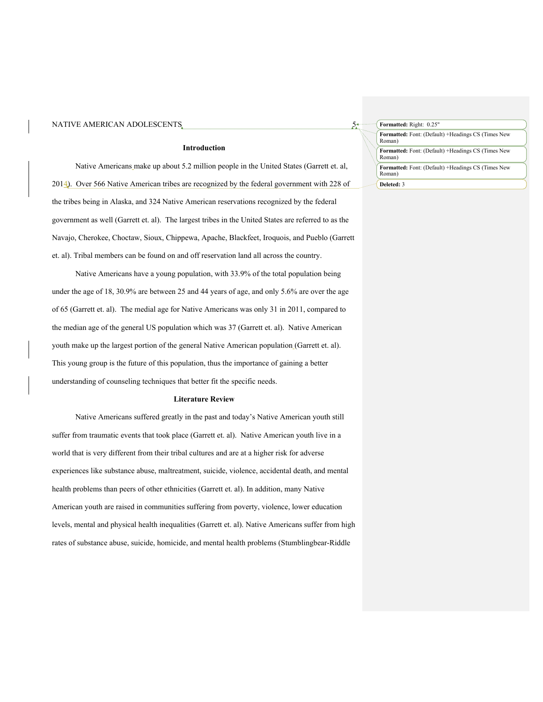#### **Introduction**

Native Americans make up about 5.2 million people in the United States (Garrett et. al, 2014). Over 566 Native American tribes are recognized by the federal government with 228 of the tribes being in Alaska, and 324 Native American reservations recognized by the federal government as well (Garrett et. al). The largest tribes in the United States are referred to as the Navajo, Cherokee, Choctaw, Sioux, Chippewa, Apache, Blackfeet, Iroquois, and Pueblo (Garrett et. al). Tribal members can be found on and off reservation land all across the country.

Native Americans have a young population, with 33.9% of the total population being under the age of 18, 30.9% are between 25 and 44 years of age, and only 5.6% are over the age of 65 (Garrett et. al). The medial age for Native Americans was only 31 in 2011, compared to the median age of the general US population which was 37 (Garrett et. al). Native American youth make up the largest portion of the general Native American population (Garrett et. al). This young group is the future of this population, thus the importance of gaining a better understanding of counseling techniques that better fit the specific needs.

#### **Literature Review**

Native Americans suffered greatly in the past and today's Native American youth still suffer from traumatic events that took place (Garrett et. al). Native American youth live in a world that is very different from their tribal cultures and are at a higher risk for adverse experiences like substance abuse, maltreatment, suicide, violence, accidental death, and mental health problems than peers of other ethnicities (Garrett et. al). In addition, many Native American youth are raised in communities suffering from poverty, violence, lower education levels, mental and physical health inequalities (Garrett et. al). Native Americans suffer from high rates of substance abuse, suicide, homicide, and mental health problems (Stumblingbear-Riddle

| Formatted: Right: 0.25"                                             |
|---------------------------------------------------------------------|
| <b>Formatted:</b> Font: (Default) +Headings CS (Times New<br>Roman) |
| <b>Formatted:</b> Font: (Default) +Headings CS (Times New<br>Roman) |
| <b>Formatted:</b> Font: (Default) +Headings CS (Times New<br>Roman) |
| Deleted: 3                                                          |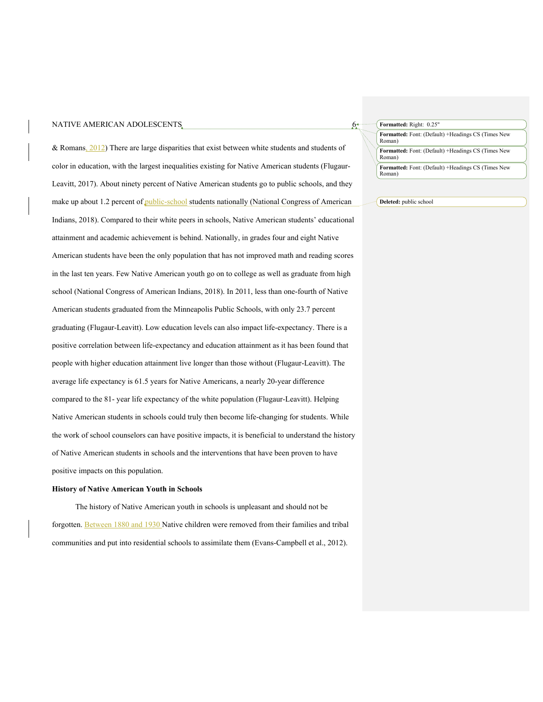& Romans,  $2012$ ) There are large disparities that exist between white students and students of color in education, with the largest inequalities existing for Native American students (Flugaur-Leavitt, 2017). About ninety percent of Native American students go to public schools, and they make up about 1.2 percent of public-school students nationally (National Congress of American Indians, 2018). Compared to their white peers in schools, Native American students' educational attainment and academic achievement is behind. Nationally, in grades four and eight Native American students have been the only population that has not improved math and reading scores in the last ten years. Few Native American youth go on to college as well as graduate from high school (National Congress of American Indians, 2018). In 2011, less than one-fourth of Native American students graduated from the Minneapolis Public Schools, with only 23.7 percent graduating (Flugaur-Leavitt). Low education levels can also impact life-expectancy. There is a positive correlation between life-expectancy and education attainment as it has been found that people with higher education attainment live longer than those without (Flugaur-Leavitt). The average life expectancy is 61.5 years for Native Americans, a nearly 20-year difference compared to the 81- year life expectancy of the white population (Flugaur-Leavitt). Helping Native American students in schools could truly then become life-changing for students. While the work of school counselors can have positive impacts, it is beneficial to understand the history of Native American students in schools and the interventions that have been proven to have positive impacts on this population.

#### **History of Native American Youth in Schools**

The history of Native American youth in schools is unpleasant and should not be forgotten. Between 1880 and 1930 Native children were removed from their families and tribal communities and put into residential schools to assimilate them (Evans-Campbell et al., 2012).

| Formatted: Right: 0.25"                                             |  |
|---------------------------------------------------------------------|--|
| <b>Formatted:</b> Font: (Default) +Headings CS (Times New<br>Roman) |  |
| <b>Formatted:</b> Font: (Default) +Headings CS (Times New<br>Roman) |  |
| <b>Formatted:</b> Font: (Default) +Headings CS (Times New<br>Roman) |  |

#### **Deleted:** public school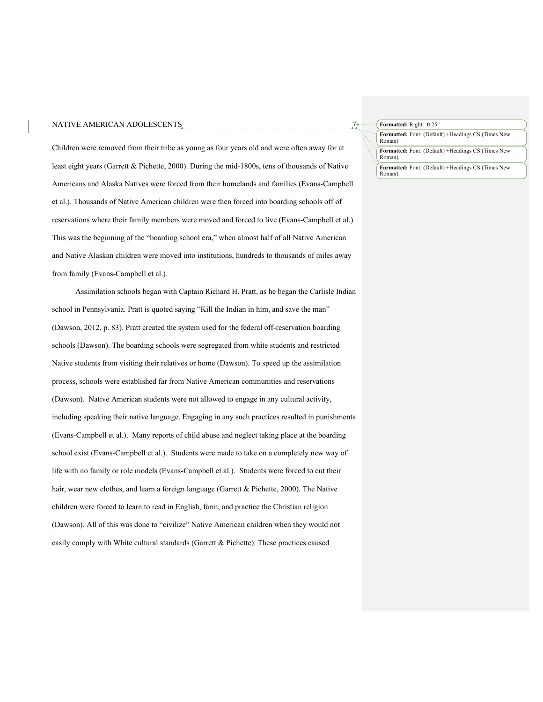Children were removed from their tribe as young as four years old and were often away for at least eight years (Garrett & Pichette, 2000). During the mid-1800s, tens of thousands of Native Americans and Alaska Natives were forced from their homelands and families (Evans-Campbell et al.). Thousands of Native American children were then forced into boarding schools off of reservations where their family members were moved and forced to live (Evans-Campbell et al.). This was the beginning of the "boarding school era," when almost half of all Native American and Native Alaskan children were moved into institutions, hundreds to thousands of miles away from family (Evans-Campbell et al.).

Assimilation schools began with Captain Richard H. Pratt, as he began the Carlisle Indian school in Pennsylvania. Pratt is quoted saying "Kill the Indian in him, and save the man" (Dawson, 2012, p. 83). Pratt created the system used for the federal off-reservation boarding schools (Dawson). The boarding schools were segregated from white students and restricted Native students from visiting their relatives or home (Dawson). To speed up the assimilation process, schools were established far from Native American communities and reservations (Dawson). Native American students were not allowed to engage in any cultural activity, including speaking their native language. Engaging in any such practices resulted in punishments (Evans-Campbell et al.). Many reports of child abuse and neglect taking place at the boarding school exist (Evans-Campbell et al.). Students were made to take on a completely new way of life with no family or role models (Evans-Campbell et al.). Students were forced to cut their hair, wear new clothes, and learn a foreign language (Garrett & Pichette, 2000). The Native children were forced to learn to read in English, farm, and practice the Christian religion (Dawson). All of this was done to "civilize" Native American children when they would not easily comply with White cultural standards (Garrett & Pichette). These practices caused

**Formatted:** Right: 0.25"

**Formatted:** Font: (Default) +Headings CS (Times New Roman)

**Formatted:** Font: (Default) +Headings CS (Times New Roman)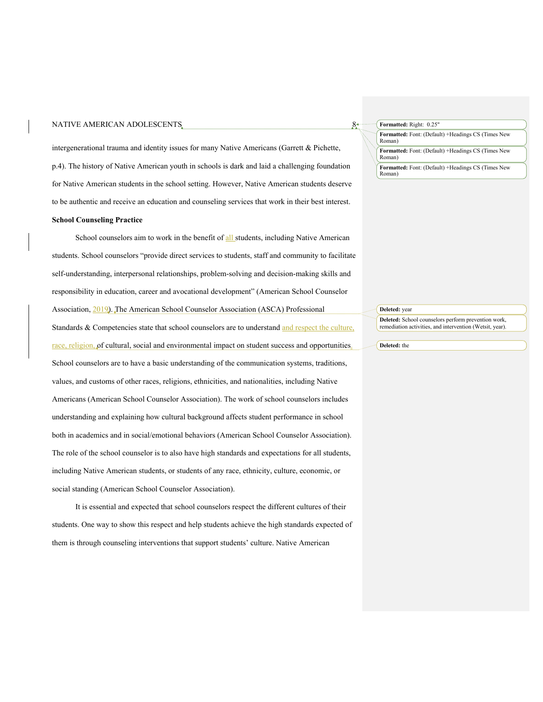intergenerational trauma and identity issues for many Native Americans (Garrett & Pichette, p.4). The history of Native American youth in schools is dark and laid a challenging foundation for Native American students in the school setting. However, Native American students deserve to be authentic and receive an education and counseling services that work in their best interest.

## **School Counseling Practice**

School counselors aim to work in the benefit of all students, including Native American students. School counselors "provide direct services to students, staff and community to facilitate self-understanding, interpersonal relationships, problem-solving and decision-making skills and responsibility in education, career and avocational development" (American School Counselor Association, 2019). The American School Counselor Association (ASCA) Professional Standards & Competencies state that school counselors are to understand and respect the culture, race, religion, of cultural, social and environmental impact on student success and opportunities. School counselors are to have a basic understanding of the communication systems, traditions, values, and customs of other races, religions, ethnicities, and nationalities, including Native Americans (American School Counselor Association). The work of school counselors includes understanding and explaining how cultural background affects student performance in school both in academics and in social/emotional behaviors (American School Counselor Association). The role of the school counselor is to also have high standards and expectations for all students, including Native American students, or students of any race, ethnicity, culture, economic, or social standing (American School Counselor Association).

It is essential and expected that school counselors respect the different cultures of their students. One way to show this respect and help students achieve the high standards expected of them is through counseling interventions that support students' culture. Native American

**Formatted:** Right: 0.25"

**Formatted:** Font: (Default) +Headings CS (Times New Roman)

**Formatted:** Font: (Default) +Headings CS (Times New Roman)

**Formatted:** Font: (Default) +Headings CS (Times New Roman)

## **Deleted:** year

**Deleted:** School counselors perform prevention work, remediation activities, and intervention (Wetsit, year).

#### **Deleted:** the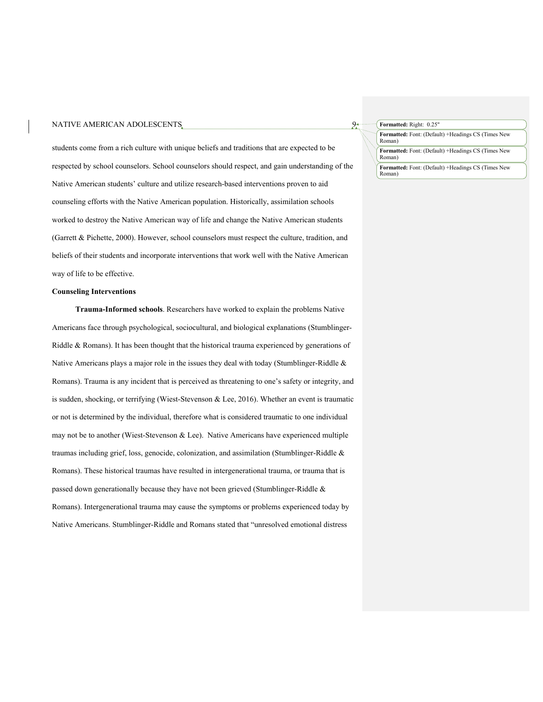students come from a rich culture with unique beliefs and traditions that are expected to be respected by school counselors. School counselors should respect, and gain understanding of the Native American students' culture and utilize research-based interventions proven to aid counseling efforts with the Native American population. Historically, assimilation schools worked to destroy the Native American way of life and change the Native American students (Garrett & Pichette, 2000). However, school counselors must respect the culture, tradition, and beliefs of their students and incorporate interventions that work well with the Native American way of life to be effective.

## **Counseling Interventions**

**Trauma-Informed schools**. Researchers have worked to explain the problems Native Americans face through psychological, sociocultural, and biological explanations (Stumblinger-Riddle & Romans). It has been thought that the historical trauma experienced by generations of Native Americans plays a major role in the issues they deal with today (Stumblinger-Riddle  $\&$ Romans). Trauma is any incident that is perceived as threatening to one's safety or integrity, and is sudden, shocking, or terrifying (Wiest-Stevenson & Lee, 2016). Whether an event is traumatic or not is determined by the individual, therefore what is considered traumatic to one individual may not be to another (Wiest-Stevenson & Lee). Native Americans have experienced multiple traumas including grief, loss, genocide, colonization, and assimilation (Stumblinger-Riddle & Romans). These historical traumas have resulted in intergenerational trauma, or trauma that is passed down generationally because they have not been grieved (Stumblinger-Riddle & Romans). Intergenerational trauma may cause the symptoms or problems experienced today by Native Americans. Stumblinger-Riddle and Romans stated that "unresolved emotional distress

| Formatted: Right: 0.25" |  |
|-------------------------|--|
|                         |  |

**Formatted:** Font: (Default) +Headings CS (Times New Roman)

**Formatted:** Font: (Default) +Headings CS (Times New Roman)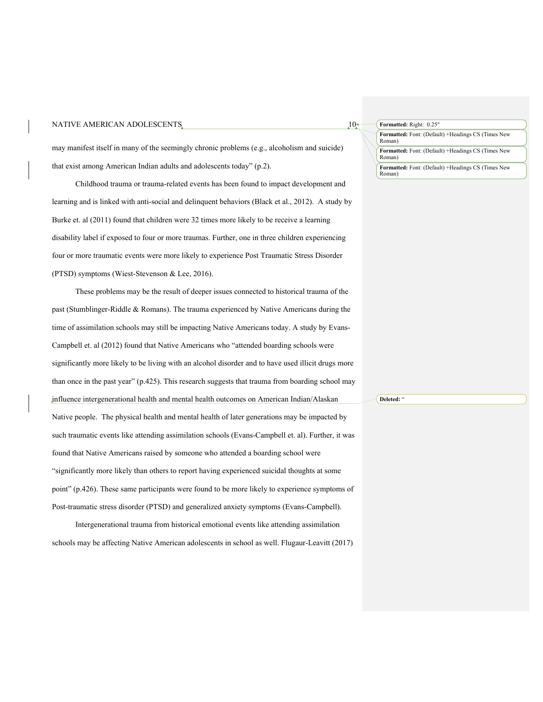## NATIVE AMERICAN ADOLESCENTS  $10<sup>4</sup>$ **Formatted:** Font: (Default) +Headings CS (Times New Roman) **Formatted:** Font: (Default) +Headings CS (Times New Roman) **Formatted:** Right: 0.25" **Formatted:** Font: (Default) +Headings CS (Times New Roman) may manifest itself in many of the seemingly chronic problems (e.g., alcoholism and suicide) that exist among American Indian adults and adolescents today" (p.2). Childhood trauma or trauma-related events has been found to impact development and learning and is linked with anti-social and delinquent behaviors (Black et al., 2012). A study by Burke et. al (2011) found that children were 32 times more likely to be receive a learning disability label if exposed to four or more traumas. Further, one in three children experiencing four or more traumatic events were more likely to experience Post Traumatic Stress Disorder (PTSD) symptoms (Wiest-Stevenson & Lee, 2016). These problems may be the result of deeper issues connected to historical trauma of the past (Stumblinger-Riddle & Romans). The trauma experienced by Native Americans during the time of assimilation schools may still be impacting Native Americans today. A study by Evans-Campbell et. al (2012) found that Native Americans who "attended boarding schools were

than once in the past year" (p.425). This research suggests that trauma from boarding school may influence intergenerational health and mental health outcomes on American Indian/Alaskan Native people. The physical health and mental health of later generations may be impacted by such traumatic events like attending assimilation schools (Evans-Campbell et. al). Further, it was found that Native Americans raised by someone who attended a boarding school were "significantly more likely than others to report having experienced suicidal thoughts at some point" (p.426). These same participants were found to be more likely to experience symptoms of

significantly more likely to be living with an alcohol disorder and to have used illicit drugs more

Intergenerational trauma from historical emotional events like attending assimilation schools may be affecting Native American adolescents in school as well. Flugaur-Leavitt (2017)

Post-traumatic stress disorder (PTSD) and generalized anxiety symptoms (Evans-Campbell).

**Deleted:** "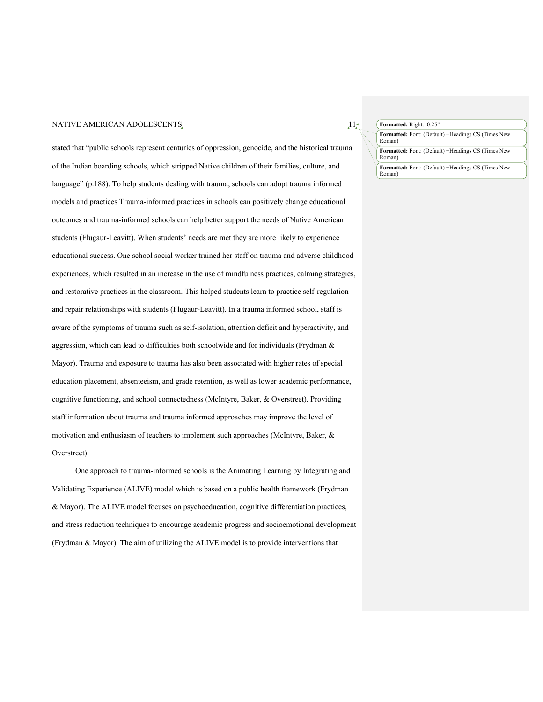#### NATIVE AMERICAN ADOLESCENTS  $11<sub>1</sub>$

stated that "public schools represent centuries of oppression, genocide, and the historical trauma of the Indian boarding schools, which stripped Native children of their families, culture, and language" (p.188). To help students dealing with trauma, schools can adopt trauma informed models and practices Trauma-informed practices in schools can positively change educational outcomes and trauma-informed schools can help better support the needs of Native American students (Flugaur-Leavitt). When students' needs are met they are more likely to experience educational success. One school social worker trained her staff on trauma and adverse childhood experiences, which resulted in an increase in the use of mindfulness practices, calming strategies, and restorative practices in the classroom. This helped students learn to practice self-regulation and repair relationships with students (Flugaur-Leavitt). In a trauma informed school, staff is aware of the symptoms of trauma such as self-isolation, attention deficit and hyperactivity, and aggression, which can lead to difficulties both schoolwide and for individuals (Frydman & Mayor). Trauma and exposure to trauma has also been associated with higher rates of special education placement, absenteeism, and grade retention, as well as lower academic performance, cognitive functioning, and school connectedness (McIntyre, Baker, & Overstreet). Providing staff information about trauma and trauma informed approaches may improve the level of motivation and enthusiasm of teachers to implement such approaches (McIntyre, Baker, & Overstreet).

One approach to trauma-informed schools is the Animating Learning by Integrating and Validating Experience (ALIVE) model which is based on a public health framework (Frydman & Mayor). The ALIVE model focuses on psychoeducation, cognitive differentiation practices, and stress reduction techniques to encourage academic progress and socioemotional development (Frydman & Mayor). The aim of utilizing the ALIVE model is to provide interventions that

**Formatted:** Right: 0.25"

**Formatted:** Font: (Default) +Headings CS (Times New Roman)

**Formatted:** Font: (Default) +Headings CS (Times New Roman)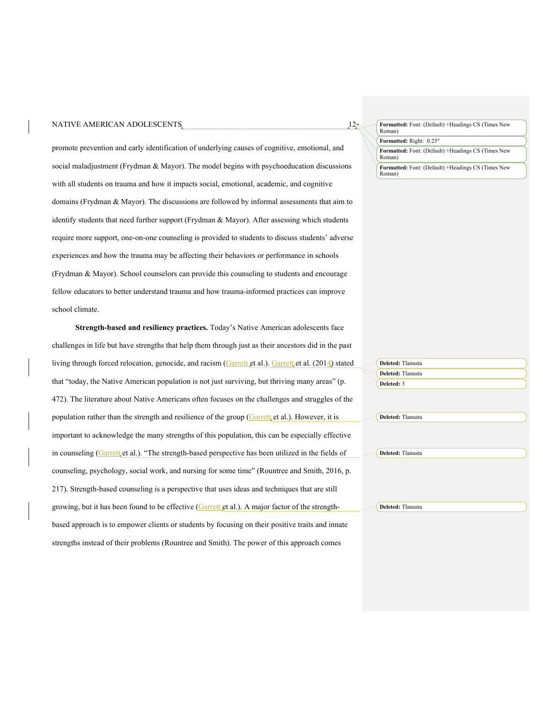#### NATIVE AMERICAN ADOLESCENTS  $12<sup>*</sup>$

promote prevention and early identification of underlying causes of cognitive, emotional, and social maladjustment (Frydman & Mayor). The model begins with psychoeducation discussions with all students on trauma and how it impacts social, emotional, academic, and cognitive domains (Frydman & Mayor). The discussions are followed by informal assessments that aim to identify students that need further support (Frydman & Mayor). After assessing which students require more support, one-on-one counseling is provided to students to discuss students' adverse experiences and how the trauma may be affecting their behaviors or performance in schools (Frydman & Mayor). School counselors can provide this counseling to students and encourage fellow educators to better understand trauma and how trauma-informed practices can improve school climate.

**Strength-based and resiliency practices.** Today's Native American adolescents face challenges in life but have strengths that help them through just as their ancestors did in the past living through forced relocation, genocide, and racism (Garrett et al.). Garrett et al. (2014) stated that "today, the Native American population is not just surviving, but thriving many areas" (p. 472). The literature about Native Americans often focuses on the challenges and struggles of the population rather than the strength and resilience of the group (Garrett et al.). However, it is important to acknowledge the many strengths of this population, this can be especially effective in counseling (Garrett et al.). "The strength-based perspective has been utilized in the fields of counseling, psychology, social work, and nursing for some time" (Rountree and Smith, 2016, p. 217). Strength-based counseling is a perspective that uses ideas and techniques that are still growing, but it has been found to be effective (Garrett et al.). A major factor of the strengthbased approach is to empower clients or students by focusing on their positive traits and innate strengths instead of their problems (Rountree and Smith). The power of this approach comes

**Formatted:** Font: (Default) +Headings CS (Times New Roman)

**Formatted:** Right: 0.25"

**Formatted:** Font: (Default) +Headings CS (Times New Roman)

| Deleted: Tlanusta |
|-------------------|
| Deleted: Tlanusta |
| Deleted: 3        |
|                   |
|                   |
|                   |
| Deleted: Tlanusta |
|                   |
|                   |
|                   |
| Deleted: Tlanusta |
|                   |
|                   |
|                   |
|                   |
|                   |
| Deleted: Tlanusta |
|                   |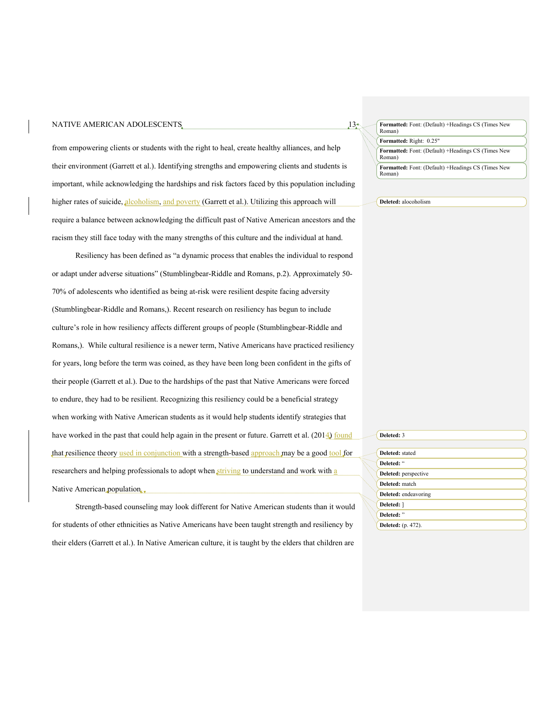#### NATIVE AMERICAN ADOLESCENTS  $13<sub>z</sub>$

from empowering clients or students with the right to heal, create healthy alliances, and help their environment (Garrett et al.). Identifying strengths and empowering clients and students is important, while acknowledging the hardships and risk factors faced by this population including higher rates of suicide, alcoholism, and poverty (Garrett et al.). Utilizing this approach will require a balance between acknowledging the difficult past of Native American ancestors and the racism they still face today with the many strengths of this culture and the individual at hand.

Resiliency has been defined as "a dynamic process that enables the individual to respond or adapt under adverse situations" (Stumblingbear-Riddle and Romans, p.2). Approximately 50- 70% of adolescents who identified as being at-risk were resilient despite facing adversity (Stumblingbear-Riddle and Romans,). Recent research on resiliency has begun to include culture's role in how resiliency affects different groups of people (Stumblingbear-Riddle and Romans,). While cultural resilience is a newer term, Native Americans have practiced resiliency for years, long before the term was coined, as they have been long been confident in the gifts of their people (Garrett et al.). Due to the hardships of the past that Native Americans were forced to endure, they had to be resilient. Recognizing this resiliency could be a beneficial strategy when working with Native American students as it would help students identify strategies that have worked in the past that could help again in the present or future. Garrett et al. (2014) found that resilience theory used in conjunction with a strength-based approach may be a good tool for researchers and helping professionals to adopt when striving to understand and work with a Native American population.

Strength-based counseling may look different for Native American students than it would for students of other ethnicities as Native Americans have been taught strength and resiliency by their elders (Garrett et al.). In Native American culture, it is taught by the elders that children are

**Formatted:** Font: (Default) +Headings CS (Times New Roman) **Formatted:** Font: (Default) +Headings CS (Times New Roman) **Formatted:** Right: 0.25" **Formatted:** Font: (Default) +Headings CS (Times New Roman)

**Deleted:** alocoholism

| Deleted: 3                |
|---------------------------|
| Deleted: stated           |
| Deleted: "                |
| Deleted: perspective      |
| Deleted: match            |
| Deleted: endeavoring      |
| Deleted: 1                |
| Deleted: "                |
| <b>Deleted:</b> (p. 472). |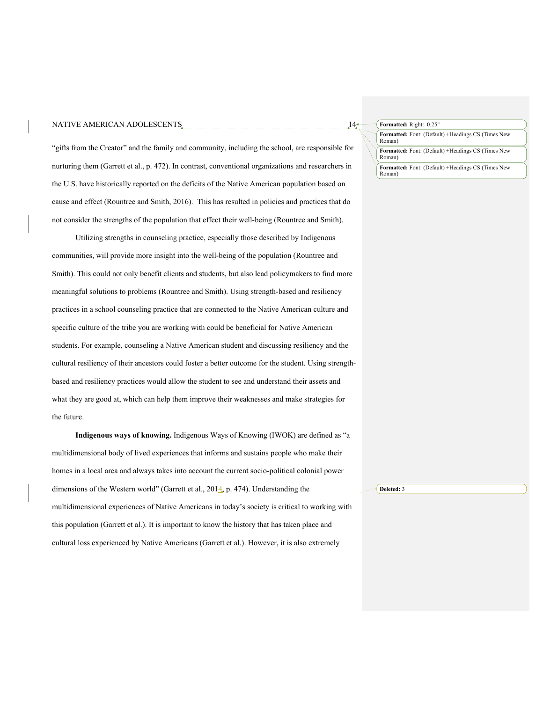### NATIVE AMERICAN ADOLESCENTS  $14<sub>1</sub>$

"gifts from the Creator" and the family and community, including the school, are responsible for nurturing them (Garrett et al., p. 472). In contrast, conventional organizations and researchers in the U.S. have historically reported on the deficits of the Native American population based on cause and effect (Rountree and Smith, 2016). This has resulted in policies and practices that do not consider the strengths of the population that effect their well-being (Rountree and Smith).

Utilizing strengths in counseling practice, especially those described by Indigenous communities, will provide more insight into the well-being of the population (Rountree and Smith). This could not only benefit clients and students, but also lead policymakers to find more meaningful solutions to problems (Rountree and Smith). Using strength-based and resiliency practices in a school counseling practice that are connected to the Native American culture and specific culture of the tribe you are working with could be beneficial for Native American students. For example, counseling a Native American student and discussing resiliency and the cultural resiliency of their ancestors could foster a better outcome for the student. Using strengthbased and resiliency practices would allow the student to see and understand their assets and what they are good at, which can help them improve their weaknesses and make strategies for the future.

**Indigenous ways of knowing.** Indigenous Ways of Knowing (IWOK) are defined as "a multidimensional body of lived experiences that informs and sustains people who make their homes in a local area and always takes into account the current socio-political colonial power dimensions of the Western world" (Garrett et al., 2014, p. 474). Understanding the multidimensional experiences of Native Americans in today's society is critical to working with this population (Garrett et al.). It is important to know the history that has taken place and cultural loss experienced by Native Americans (Garrett et al.). However, it is also extremely **Deleted:** 3

### **Formatted:** Font: (Default) +Headings CS (Times New Roman) **Formatted:** Right: 0.25" **Formatted:** Font: (Default) +Headings CS (Times New Roman)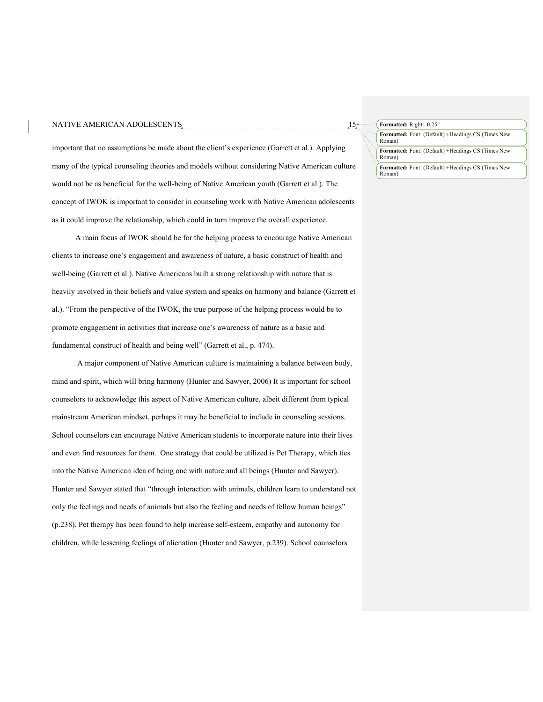#### NATIVE AMERICAN ADOLESCENTS  $15<sup>*</sup>$

important that no assumptions be made about the client's experience (Garrett et al.). Applying many of the typical counseling theories and models without considering Native American culture would not be as beneficial for the well-being of Native American youth (Garrett et al.). The concept of IWOK is important to consider in counseling work with Native American adolescents as it could improve the relationship, which could in turn improve the overall experience.

A main focus of IWOK should be for the helping process to encourage Native American clients to increase one's engagement and awareness of nature, a basic construct of health and well-being (Garrett et al.). Native Americans built a strong relationship with nature that is heavily involved in their beliefs and value system and speaks on harmony and balance (Garrett et al.). "From the perspective of the IWOK, the true purpose of the helping process would be to promote engagement in activities that increase one's awareness of nature as a basic and fundamental construct of health and being well" (Garrett et al., p. 474).

A major component of Native American culture is maintaining a balance between body, mind and spirit, which will bring harmony (Hunter and Sawyer, 2006) It is important for school counselors to acknowledge this aspect of Native American culture, albeit different from typical mainstream American mindset, perhaps it may be beneficial to include in counseling sessions. School counselors can encourage Native American students to incorporate nature into their lives and even find resources for them. One strategy that could be utilized is Pet Therapy, which ties into the Native American idea of being one with nature and all beings (Hunter and Sawyer). Hunter and Sawyer stated that "through interaction with animals, children learn to understand not only the feelings and needs of animals but also the feeling and needs of fellow human beings" (p.238). Pet therapy has been found to help increase self-esteem, empathy and autonomy for children, while lessening feelings of alienation (Hunter and Sawyer, p.239). School counselors

**Formatted:** Right: 0.25"

**Formatted:** Font: (Default) +Headings CS (Times New Roman)

**Formatted:** Font: (Default) +Headings CS (Times New Roman)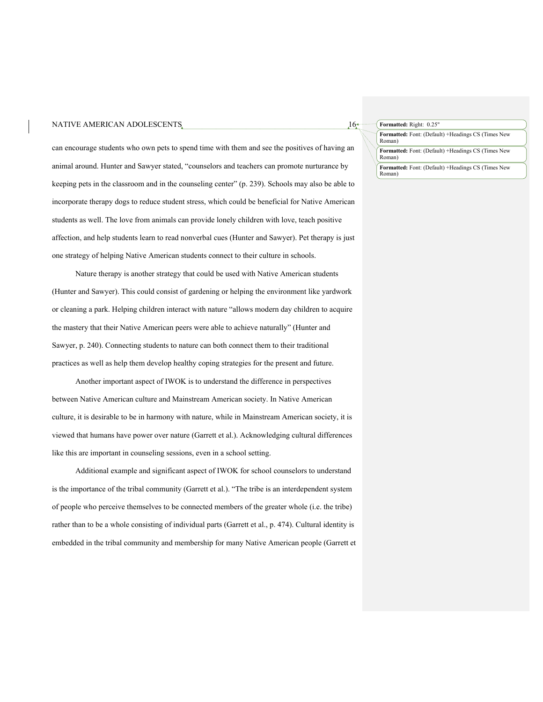#### NATIVE AMERICAN ADOLESCENTS  $16<sup>*</sup>$

can encourage students who own pets to spend time with them and see the positives of having an animal around. Hunter and Sawyer stated, "counselors and teachers can promote nurturance by keeping pets in the classroom and in the counseling center" (p. 239). Schools may also be able to incorporate therapy dogs to reduce student stress, which could be beneficial for Native American students as well. The love from animals can provide lonely children with love, teach positive affection, and help students learn to read nonverbal cues (Hunter and Sawyer). Pet therapy is just one strategy of helping Native American students connect to their culture in schools.

Nature therapy is another strategy that could be used with Native American students (Hunter and Sawyer). This could consist of gardening or helping the environment like yardwork or cleaning a park. Helping children interact with nature "allows modern day children to acquire the mastery that their Native American peers were able to achieve naturally" (Hunter and Sawyer, p. 240). Connecting students to nature can both connect them to their traditional practices as well as help them develop healthy coping strategies for the present and future.

Another important aspect of IWOK is to understand the difference in perspectives between Native American culture and Mainstream American society. In Native American culture, it is desirable to be in harmony with nature, while in Mainstream American society, it is viewed that humans have power over nature (Garrett et al.). Acknowledging cultural differences like this are important in counseling sessions, even in a school setting.

Additional example and significant aspect of IWOK for school counselors to understand is the importance of the tribal community (Garrett et al.). "The tribe is an interdependent system of people who perceive themselves to be connected members of the greater whole (i.e. the tribe) rather than to be a whole consisting of individual parts (Garrett et al., p. 474). Cultural identity is embedded in the tribal community and membership for many Native American people (Garrett et **Formatted:** Right: 0.25"

**Formatted:** Font: (Default) +Headings CS (Times New Roman)

**Formatted:** Font: (Default) +Headings CS (Times New Roman)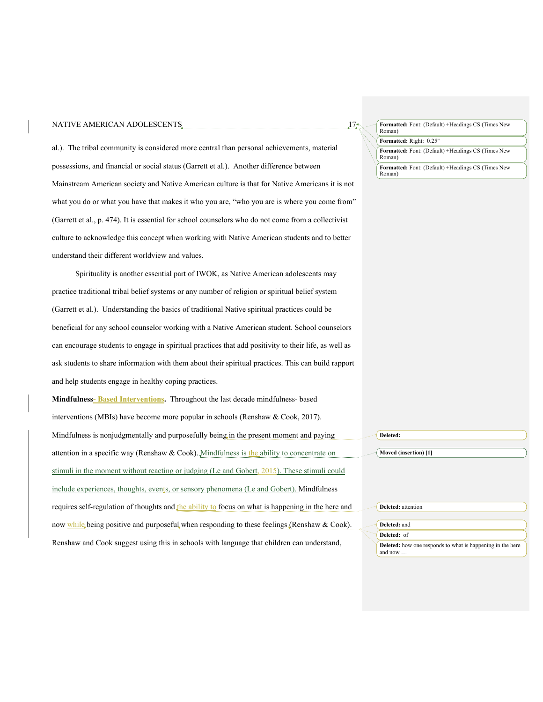#### NATIVE AMERICAN ADOLESCENTS  $17<sub>z</sub>$

al.). The tribal community is considered more central than personal achievements, material possessions, and financial or social status (Garrett et al.). Another difference between Mainstream American society and Native American culture is that for Native Americans it is not what you do or what you have that makes it who you are, "who you are is where you come from" (Garrett et al., p. 474). It is essential for school counselors who do not come from a collectivist culture to acknowledge this concept when working with Native American students and to better understand their different worldview and values.

Spirituality is another essential part of IWOK, as Native American adolescents may practice traditional tribal belief systems or any number of religion or spiritual belief system (Garrett et al.). Understanding the basics of traditional Native spiritual practices could be beneficial for any school counselor working with a Native American student. School counselors can encourage students to engage in spiritual practices that add positivity to their life, as well as ask students to share information with them about their spiritual practices. This can build rapport and help students engage in healthy coping practices.

**Mindfulness- Based Interventions.** Throughout the last decade mindfulness- based interventions (MBIs) have become more popular in schools (Renshaw & Cook, 2017). Mindfulness is nonjudgmentally and purposefully being in the present moment and paying attention in a specific way (Renshaw & Cook). Mindfulness is the ability to concentrate on stimuli in the moment without reacting or judging (Le and Gobert, 2015). These stimuli could include experiences, thoughts, events, or sensory phenomena (Le and Gobert). Mindfulness requires self-regulation of thoughts and the ability to focus on what is happening in the here and now while being positive and purposeful when responding to these feelings (Renshaw & Cook). Renshaw and Cook suggest using this in schools with language that children can understand, **Deleted: Moved (insertion) [1] Deleted:** attention **Deleted:** and **Deleted:** of **Deleted:** how one responds to what is happening in the here and now …

#### **Formatted:** Font: (Default) +Headings CS (Times New Roman)

**Formatted:** Right: 0.25"

**Formatted:** Font: (Default) +Headings CS (Times New Roman)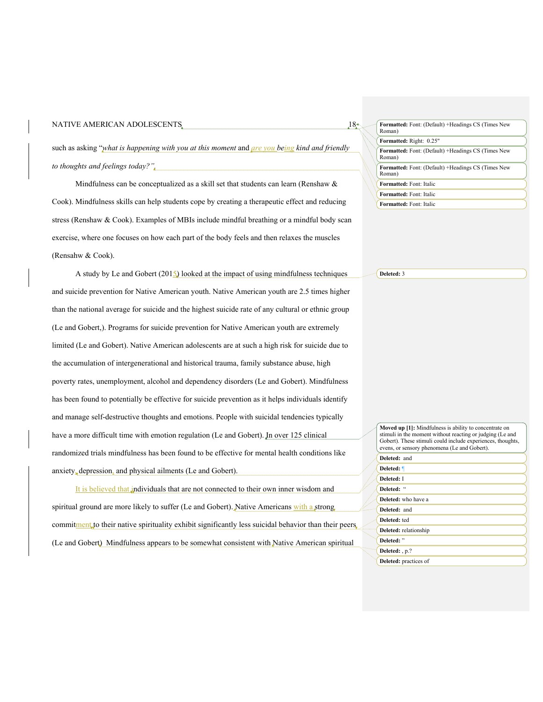| $18-$<br>NATIVE AMERICAN ADOLESCENTS                                                               | Formatted: Font: (Defaul<br>Roman)  |
|----------------------------------------------------------------------------------------------------|-------------------------------------|
|                                                                                                    | Formatted: Right: 0.25"             |
| such as asking "what is happening with you at this moment and $\mu$ re you being kind and friendly | Formatted: Font: (Default<br>Roman) |
| to thoughts and feelings today?".                                                                  | Formatted: Font: (Default<br>Roman) |

Mindfulness can be conceptualized as a skill set that students can learn (Renshaw & Cook). Mindfulness skills can help students cope by creating a therapeutic effect and reducing stress (Renshaw & Cook). Examples of MBIs include mindful breathing or a mindful body scan exercise, where one focuses on how each part of the body feels and then relaxes the muscles (Rensahw & Cook).

A study by Le and Gobert (2015) looked at the impact of using mindfulness techniques and suicide prevention for Native American youth. Native American youth are 2.5 times higher than the national average for suicide and the highest suicide rate of any cultural or ethnic group (Le and Gobert,). Programs for suicide prevention for Native American youth are extremely limited (Le and Gobert). Native American adolescents are at such a high risk for suicide due to the accumulation of intergenerational and historical trauma, family substance abuse, high poverty rates, unemployment, alcohol and dependency disorders (Le and Gobert). Mindfulness has been found to potentially be effective for suicide prevention as it helps individuals identify and manage self-destructive thoughts and emotions. People with suicidal tendencies typically have a more difficult time with emotion regulation (Le and Gobert). In over 125 clinical randomized trials mindfulness has been found to be effective for mental health conditions like anxiety, depression, and physical ailments (Le and Gobert).

It is believed that individuals that are not connected to their own inner wisdom and spiritual ground are more likely to suffer (Le and Gobert). Native Americans with a strong commitment to their native spirituality exhibit significantly less suicidal behavior than their peers (Le and Gobert) Mindfulness appears to be somewhat consistent with Native American spiritual

| Formatted: Font: (Default) +Headings CS (Times New<br>Roman) |
|--------------------------------------------------------------|
| Formatted: Right: 0.25"                                      |
| Formatted: Font: (Default) +Headings CS (Times New<br>Roman) |
| Formatted: Font: (Default) +Headings CS (Times New<br>Roman) |
| Formatted: Font: Italic                                      |
| <b>Formatted:</b> Font: Italic                               |
| Formatted: Font: Italic                                      |

**Deleted:** 3

| <b>Moved up [1]:</b> Mindfulness is ability to concentrate on<br>stimuli in the moment without reacting or judging (Le and<br>Gobert). These stimuli could include experiences, thoughts,<br>evens, or sensory phenomena (Le and Gobert). |
|-------------------------------------------------------------------------------------------------------------------------------------------------------------------------------------------------------------------------------------------|
| Deleted: and                                                                                                                                                                                                                              |
| Deleted: ¶                                                                                                                                                                                                                                |
| Deleted: I                                                                                                                                                                                                                                |
| Deleted: "                                                                                                                                                                                                                                |
| Deleted: who have a                                                                                                                                                                                                                       |
| Deleted: and                                                                                                                                                                                                                              |
| Deleted: ted                                                                                                                                                                                                                              |
| Deleted: relationship                                                                                                                                                                                                                     |
| Deleted: "                                                                                                                                                                                                                                |
| Deleted: , p.?                                                                                                                                                                                                                            |
| Deleted: practices of                                                                                                                                                                                                                     |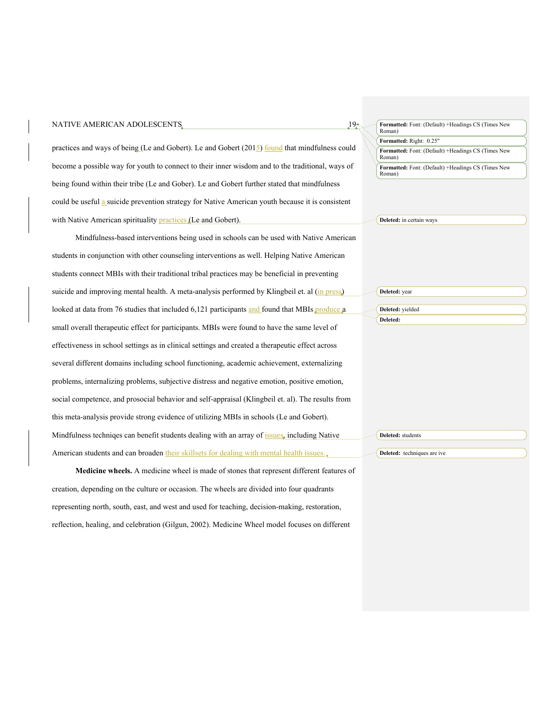| NATIVE AMERICAN ADOLESCENTS                                                                       | 19.4 | Formatted: Font: (Default) +Headings CS (Times New           |
|---------------------------------------------------------------------------------------------------|------|--------------------------------------------------------------|
|                                                                                                   |      | Roman)<br>Formatted: Right: 0.25"                            |
| practices and ways of being (Le and Gobert). Le and Gobert $(2015)$ found that mindfulness could  |      | Formatted: Font: (Default) +Headings CS (Times New<br>Roman) |
| become a possible way for youth to connect to their inner wisdom and to the traditional, ways of  |      | Formatted: Font: (Default) +Headings CS (Times New<br>Roman) |
| being found within their tribe (Le and Gober). Le and Gobert further stated that mindfulness      |      |                                                              |
| could be useful a suicide prevention strategy for Native American youth because it is consistent  |      |                                                              |
| with Native American spirituality practices (Le and Gobert).                                      |      | Deleted: in certain ways                                     |
| Mindfulness-based interventions being used in schools can be used with Native American            |      |                                                              |
| students in conjunction with other counseling interventions as well. Helping Native American      |      |                                                              |
| students connect MBIs with their traditional tribal practices may be beneficial in preventing     |      |                                                              |
| suicide and improving mental health. A meta-analysis performed by Klingbeil et. al (in press)     |      | Deleted: year                                                |
| looked at data from 76 studies that included 6,121 participants and found that MBIs produce a     |      | Deleted: yielded                                             |
| small overall therapeutic effect for participants. MBIs were found to have the same level of      |      | Deleted:                                                     |
| effectiveness in school settings as in clinical settings and created a therapeutic effect across  |      |                                                              |
| several different domains including school functioning, academic achievement, externalizing       |      |                                                              |
| problems, internalizing problems, subjective distress and negative emotion, positive emotion,     |      |                                                              |
| social competence, and prosocial behavior and self-appraisal (Klingbeil et. al). The results from |      |                                                              |
| this meta-analysis provide strong evidence of utilizing MBIs in schools (Le and Gobert).          |      |                                                              |
| Mindfulness techniqes can benefit students dealing with an array of issues, including Native      |      | Deleted: students                                            |
| American students and can broaden their skillsets for dealing with mental health issues.,         |      | Deleted: techniques are ive                                  |
| Medicine wheels. A medicine wheel is made of stones that represent different features of          |      |                                                              |
| creation, depending on the culture or occasion. The wheels are divided into four quadrants        |      |                                                              |
| representing north, south, east, and west and used for teaching, decision-making, restoration,    |      |                                                              |

reflection, healing, and celebration (Gilgun, 2002). Medicine Wheel model focuses on different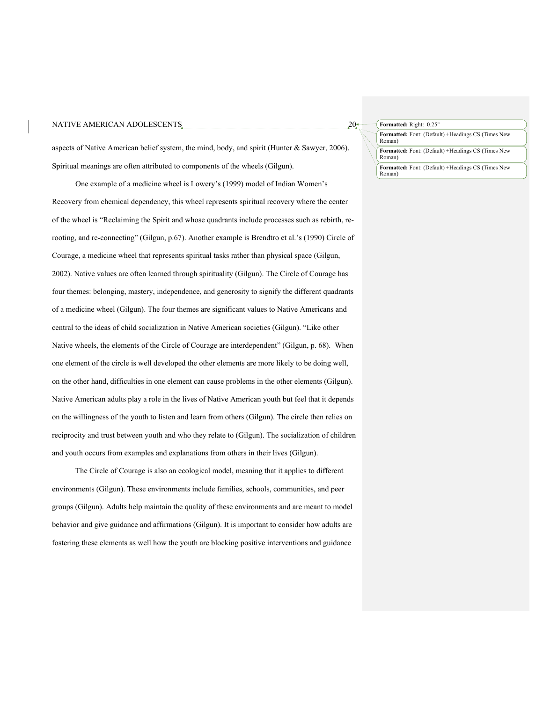#### NATIVE AMERICAN ADOLESCENTS  $20<sup>*</sup>$

aspects of Native American belief system, the mind, body, and spirit (Hunter & Sawyer, 2006). Spiritual meanings are often attributed to components of the wheels (Gilgun).

One example of a medicine wheel is Lowery's (1999) model of Indian Women's Recovery from chemical dependency, this wheel represents spiritual recovery where the center of the wheel is "Reclaiming the Spirit and whose quadrants include processes such as rebirth, rerooting, and re-connecting" (Gilgun, p.67). Another example is Brendtro et al.'s (1990) Circle of Courage, a medicine wheel that represents spiritual tasks rather than physical space (Gilgun, 2002). Native values are often learned through spirituality (Gilgun). The Circle of Courage has four themes: belonging, mastery, independence, and generosity to signify the different quadrants of a medicine wheel (Gilgun). The four themes are significant values to Native Americans and central to the ideas of child socialization in Native American societies (Gilgun). "Like other Native wheels, the elements of the Circle of Courage are interdependent" (Gilgun, p. 68). When one element of the circle is well developed the other elements are more likely to be doing well, on the other hand, difficulties in one element can cause problems in the other elements (Gilgun). Native American adults play a role in the lives of Native American youth but feel that it depends on the willingness of the youth to listen and learn from others (Gilgun). The circle then relies on reciprocity and trust between youth and who they relate to (Gilgun). The socialization of children and youth occurs from examples and explanations from others in their lives (Gilgun).

The Circle of Courage is also an ecological model, meaning that it applies to different environments (Gilgun). These environments include families, schools, communities, and peer groups (Gilgun). Adults help maintain the quality of these environments and are meant to model behavior and give guidance and affirmations (Gilgun). It is important to consider how adults are fostering these elements as well how the youth are blocking positive interventions and guidance

**Formatted:** Right: 0.25"

**Formatted:** Font: (Default) +Headings CS (Times New Roman)

**Formatted:** Font: (Default) +Headings CS (Times New Roman)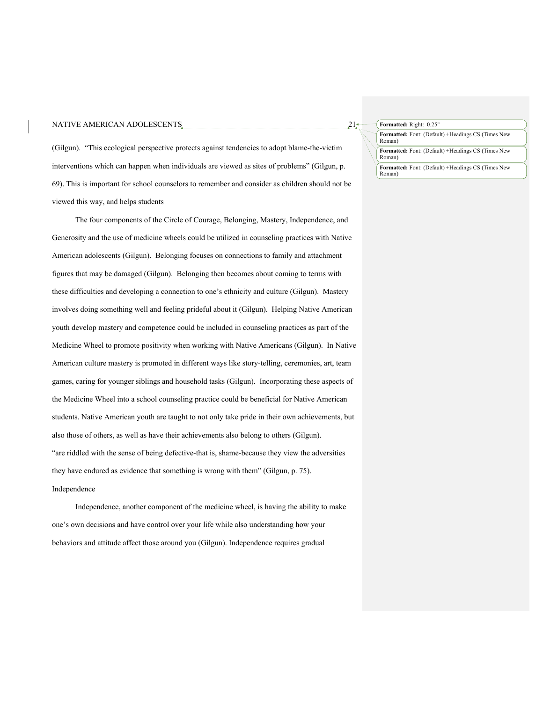#### NATIVE AMERICAN ADOLESCENTS  $21<sub>2</sub>$

(Gilgun). "This ecological perspective protects against tendencies to adopt blame-the-victim interventions which can happen when individuals are viewed as sites of problems" (Gilgun, p. 69). This is important for school counselors to remember and consider as children should not be viewed this way, and helps students

The four components of the Circle of Courage, Belonging, Mastery, Independence, and Generosity and the use of medicine wheels could be utilized in counseling practices with Native American adolescents (Gilgun). Belonging focuses on connections to family and attachment figures that may be damaged (Gilgun). Belonging then becomes about coming to terms with these difficulties and developing a connection to one's ethnicity and culture (Gilgun). Mastery involves doing something well and feeling prideful about it (Gilgun). Helping Native American youth develop mastery and competence could be included in counseling practices as part of the Medicine Wheel to promote positivity when working with Native Americans (Gilgun). In Native American culture mastery is promoted in different ways like story-telling, ceremonies, art, team games, caring for younger siblings and household tasks (Gilgun). Incorporating these aspects of the Medicine Wheel into a school counseling practice could be beneficial for Native American students. Native American youth are taught to not only take pride in their own achievements, but also those of others, as well as have their achievements also belong to others (Gilgun). "are riddled with the sense of being defective-that is, shame-because they view the adversities they have endured as evidence that something is wrong with them" (Gilgun, p. 75). Independence

Independence, another component of the medicine wheel, is having the ability to make one's own decisions and have control over your life while also understanding how your behaviors and attitude affect those around you (Gilgun). Independence requires gradual

#### **Formatted:** Right: 0.25"

**Formatted:** Font: (Default) +Headings CS (Times New Roman)

**Formatted:** Font: (Default) +Headings CS (Times New Roman)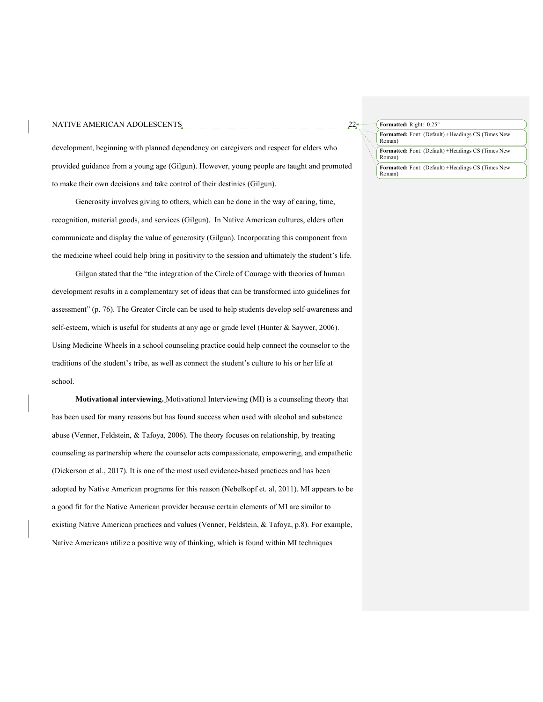development, beginning with planned dependency on caregivers and respect for elders who provided guidance from a young age (Gilgun). However, young people are taught and promoted to make their own decisions and take control of their destinies (Gilgun).

Generosity involves giving to others, which can be done in the way of caring, time, recognition, material goods, and services (Gilgun). In Native American cultures, elders often communicate and display the value of generosity (Gilgun). Incorporating this component from the medicine wheel could help bring in positivity to the session and ultimately the student's life.

Gilgun stated that the "the integration of the Circle of Courage with theories of human development results in a complementary set of ideas that can be transformed into guidelines for assessment" (p. 76). The Greater Circle can be used to help students develop self-awareness and self-esteem, which is useful for students at any age or grade level (Hunter & Saywer, 2006). Using Medicine Wheels in a school counseling practice could help connect the counselor to the traditions of the student's tribe, as well as connect the student's culture to his or her life at school.

**Motivational interviewing.** Motivational Interviewing (MI) is a counseling theory that has been used for many reasons but has found success when used with alcohol and substance abuse (Venner, Feldstein, & Tafoya, 2006). The theory focuses on relationship, by treating counseling as partnership where the counselor acts compassionate, empowering, and empathetic (Dickerson et al., 2017). It is one of the most used evidence-based practices and has been adopted by Native American programs for this reason (Nebelkopf et. al, 2011). MI appears to be a good fit for the Native American provider because certain elements of MI are similar to existing Native American practices and values (Venner, Feldstein, & Tafoya, p.8). For example, Native Americans utilize a positive way of thinking, which is found within MI techniques

#### **Formatted:** Right: 0.25"

**Formatted:** Font: (Default) +Headings CS (Times New Roman)

**Formatted:** Font: (Default) +Headings CS (Times New Roman)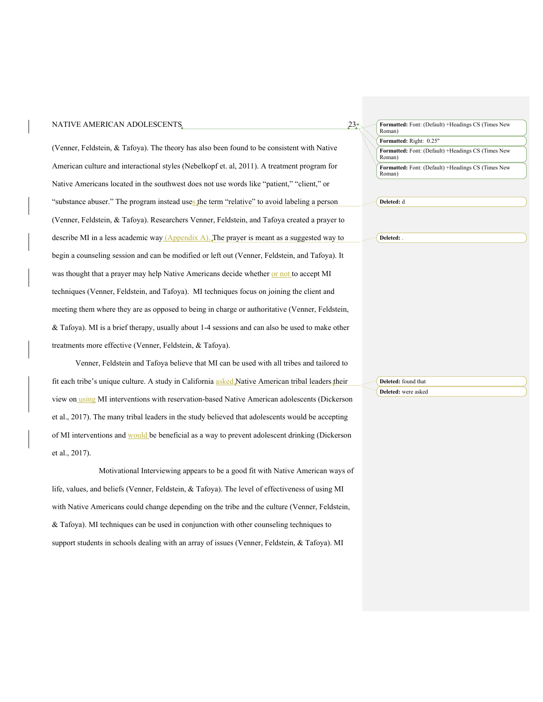#### NATIVE AMERICAN ADOLESCENTS  $23<sub>z</sub>$

(Venner, Feldstein, & Tafoya). The theory has also been found to be consistent with Native American culture and interactional styles (Nebelkopf et. al, 2011). A treatment program for Native Americans located in the southwest does not use words like "patient," "client," or "substance abuser." The program instead uses the term "relative" to avoid labeling a person (Venner, Feldstein, & Tafoya). Researchers Venner, Feldstein, and Tafoya created a prayer to describe MI in a less academic way  $(Appendix A)$ . The prayer is meant as a suggested way to begin a counseling session and can be modified or left out (Venner, Feldstein, and Tafoya). It was thought that a prayer may help Native Americans decide whether or not to accept MI techniques (Venner, Feldstein, and Tafoya). MI techniques focus on joining the client and meeting them where they are as opposed to being in charge or authoritative (Venner, Feldstein, & Tafoya). MI is a brief therapy, usually about 1-4 sessions and can also be used to make other treatments more effective (Venner, Feldstein, & Tafoya).

Venner, Feldstein and Tafoya believe that MI can be used with all tribes and tailored to fit each tribe's unique culture. A study in California asked Native American tribal leaders their view on using MI interventions with reservation-based Native American adolescents (Dickerson et al., 2017). The many tribal leaders in the study believed that adolescents would be accepting of MI interventions and would be beneficial as a way to prevent adolescent drinking (Dickerson et al., 2017).

Motivational Interviewing appears to be a good fit with Native American ways of life, values, and beliefs (Venner, Feldstein, & Tafoya). The level of effectiveness of using MI with Native Americans could change depending on the tribe and the culture (Venner, Feldstein, & Tafoya). MI techniques can be used in conjunction with other counseling techniques to support students in schools dealing with an array of issues (Venner, Feldstein, & Tafoya). MI

**Formatted:** Font: (Default) +Headings CS (Times New Roman)

**Formatted:** Right: 0.25"

**Formatted:** Font: (Default) +Headings CS (Times New Roman)

**Formatted:** Font: (Default) +Headings CS (Times New Roman)

**Deleted:** d

**Deleted:** .

**Deleted:** found that **Deleted:** were asked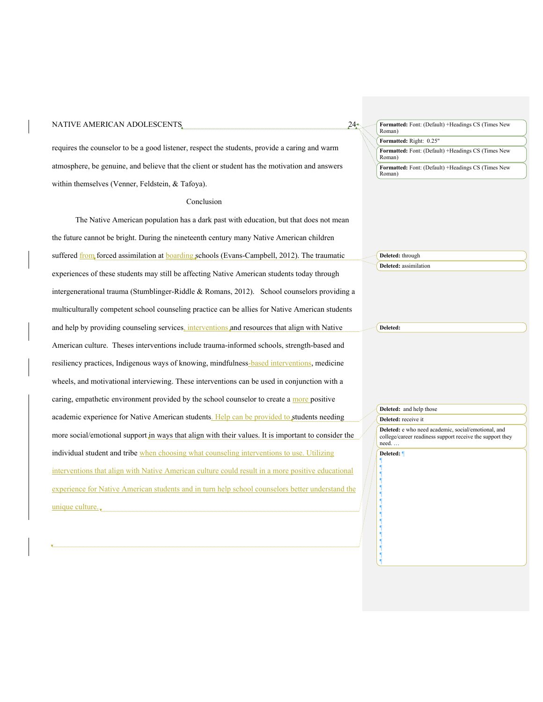#### NATIVE AMERICAN ADOLESCENTS.  $24<sup>*</sup>$

requires the counselor to be a good listener, respect the students, provide a caring and warm atmosphere, be genuine, and believe that the client or student has the motivation and answers within themselves (Venner, Feldstein, & Tafoya).

#### Conclusion

The Native American population has a dark past with education, but that does not mean the future cannot be bright. During the nineteenth century many Native American children suffered from forced assimilation at **boarding** schools (Evans-Campbell, 2012). The traumatic experiences of these students may still be affecting Native American students today through intergenerational trauma (Stumblinger-Riddle & Romans, 2012). School counselors providing a multiculturally competent school counseling practice can be allies for Native American students and help by providing counseling services, interventions and resources that align with Native American culture. Theses interventions include trauma-informed schools, strength-based and resiliency practices, Indigenous ways of knowing, mindfulness-based interventions, medicine wheels, and motivational interviewing. These interventions can be used in conjunction with a caring, empathetic environment provided by the school counselor to create a more positive academic experience for Native American students. Help can be provided to students needing more social/emotional support in ways that align with their values. It is important to consider the individual student and tribe when choosing what counseling interventions to use. Utilizing interventions that align with Native American culture could result in a more positive educational experience for Native American students and in turn help school counselors better understand the unique culture. **Deleted:** through ¶ ¶ ¶ ¶ ¶ ¶ ¶ ¶ ¶

**Formatted:** Font: (Default) +Headings CS (Times New Roman)

**Formatted:** Right: 0.25"

**Formatted:** Font: (Default) +Headings CS (Times New Roman)

**Formatted:** Font: (Default) +Headings CS (Times New Roman)

**Deleted:** assimilation

**Deleted:** 

**Deleted:** and help those

¶ ¶ ¶ ¶ ¶ ¶ ¶

**Deleted:** receive it **Deleted:** e who need academic, social/emotional, and college/career readiness support receive the support they need. … **Deleted:** ¶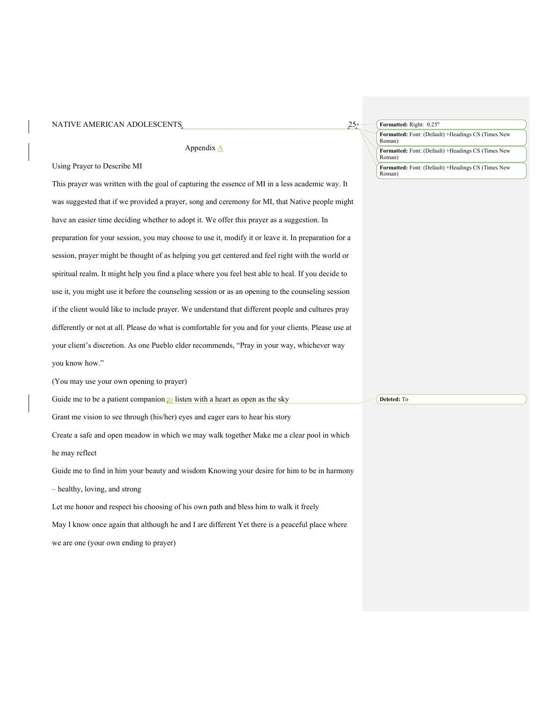| NATIVE AMERICAN ADOLESCENTS. |  |
|------------------------------|--|
|------------------------------|--|

Appendix A

Using Prayer to Describe MI

This prayer was written with the goal of capturing the essence of MI in a less academic way. It was suggested that if we provided a prayer, song and ceremony for MI, that Native people might have an easier time deciding whether to adopt it. We offer this prayer as a suggestion. In preparation for your session, you may choose to use it, modify it or leave it. In preparation for a session, prayer might be thought of as helping you get centered and feel right with the world or spiritual realm. It might help you find a place where you feel best able to heal. If you decide to use it, you might use it before the counseling session or as an opening to the counseling session if the client would like to include prayer. We understand that different people and cultures pray differently or not at all. Please do what is comfortable for you and for your clients. Please use at your client's discretion. As one Pueblo elder recommends, "Pray in your way, whichever way you know how."

(You may use your own opening to prayer)

Guide me to be a patient companion to listen with a heart as open as the sky

Grant me vision to see through (his/her) eyes and eager ears to hear his story

Create a safe and open meadow in which we may walk together Make me a clear pool in which

he may reflect

Guide me to find in him your beauty and wisdom Knowing your desire for him to be in harmony

– healthy, loving, and strong

Let me honor and respect his choosing of his own path and bless him to walk it freely

May I know once again that although he and I are different Yet there is a peaceful place where

we are one (your own ending to prayer)

**Formatted:** Font: (Default) +Headings CS (Times New Roman) **Formatted:** Font: (Default) +Headings CS (Times New Roman) **Formatted:** Right: 0.25" **Formatted:** Font: (Default) +Headings CS (Times New Roman)

**Deleted:** To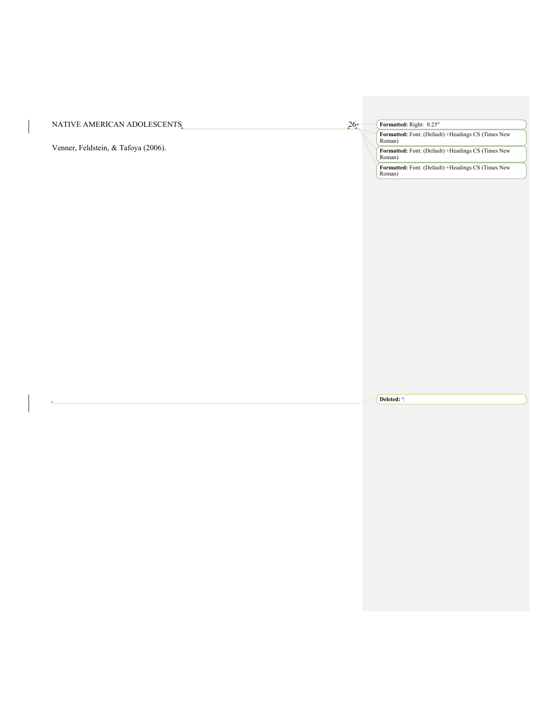| NATIVE AMERICAN ADOLESCENTS         | $26-$ | Formatted: Right: 0.25"                                                                                                             |
|-------------------------------------|-------|-------------------------------------------------------------------------------------------------------------------------------------|
| Venner, Feldstein, & Tafoya (2006). |       | Formatted: Font: (Default) +Headings CS (Times New<br>Roman)<br><b>Formatted:</b> Font: (Default) +Headings CS (Times New<br>Roman) |
|                                     |       | Formatted: Font: (Default) +Headings CS (Times New<br>Roman                                                                         |

**Deleted:** ¶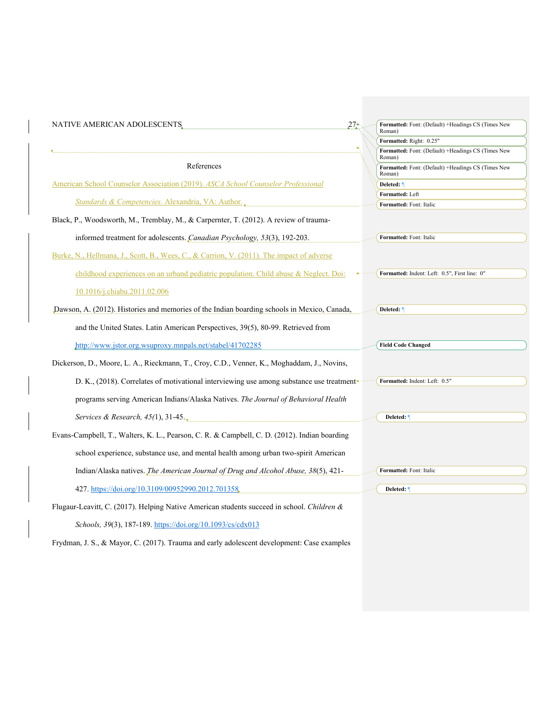| NATIVE AMERICAN ADOLESCENTS                                                                  | 27.<br>Formatted: Font: (Default) +Headings CS (Times New<br>Roman) |
|----------------------------------------------------------------------------------------------|---------------------------------------------------------------------|
|                                                                                              | Formatted: Right: 0.25"                                             |
|                                                                                              | Formatted: Font: (Default) +Headings CS (Times New<br>Roman)        |
| References                                                                                   | Formatted: Font: (Default) +Headings CS (Times New<br>Roman)        |
| American School Counselor Association (2019). ASCA School Counselor Professional             | Deleted:                                                            |
|                                                                                              | Formatted: Left                                                     |
| Standards & Competencies. Alexandria, VA: Author.                                            | Formatted: Font: Italic                                             |
| Black, P., Woodsworth, M., Tremblay, M., & Carpernter, T. (2012). A review of trauma-        |                                                                     |
| informed treatment for adolescents. Canadian Psychology, 53(3), 192-203.                     | Formatted: Font: Italic                                             |
| Burke, N., Hellmana, J., Scott, B., Wees, C., & Carrion, V. (2011). The impact of adverse    |                                                                     |
| childhood experiences on an urband pediatric population. Child abuse & Neglect. Doi:         | Formatted: Indent: Left: 0.5", First line: 0"                       |
| 10.1016/j.chiabu.2011.02.006                                                                 |                                                                     |
| Dawson, A. (2012). Histories and memories of the Indian boarding schools in Mexico, Canada,  | Deleted: 1                                                          |
| and the United States. Latin American Perspectives, 39(5), 80-99. Retrieved from             |                                                                     |
| http://www.jstor.org.wsuproxy.mnpals.net/stabel/41702285                                     | <b>Field Code Changed</b>                                           |
| Dickerson, D., Moore, L. A., Rieckmann, T., Croy, C.D., Venner, K., Moghaddam, J., Novins,   |                                                                     |
| D. K., (2018). Correlates of motivational interviewing use among substance use treatment     | Formatted: Indent: Left: 0.5"                                       |
| programs serving American Indians/Alaska Natives. The Journal of Behavioral Health           |                                                                     |
| Services & Research, $45(1)$ , $31-45$ .                                                     | Deleted:                                                            |
| Evans-Campbell, T., Walters, K. L., Pearson, C. R. & Campbell, C. D. (2012). Indian boarding |                                                                     |
| school experience, substance use, and mental health among urban two-spirit American          |                                                                     |
| Indian/Alaska natives. The American Journal of Drug and Alcohol Abuse, 38(5), 421-           | Formatted: Font: Italic                                             |
| 427. https://doi.org/10.3109/00952990.2012.701358.                                           | Deleted: 1                                                          |
| Flugaur-Leavitt, C. (2017). Helping Native American students succeed in school. Children &   |                                                                     |
| Schools, 39(3), 187-189. https://doi.org/10.1093/cs/cdx013                                   |                                                                     |

Frydman, J. S., & Mayor, C. (2017). Trauma and early adolescent development: Case examples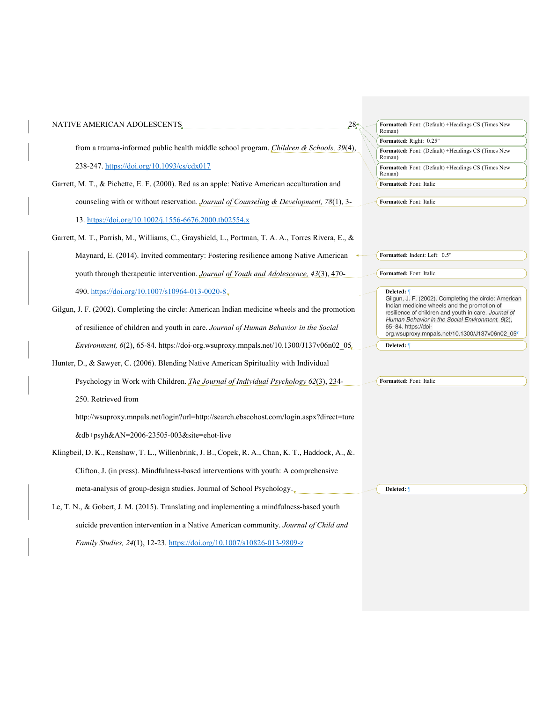| NATIVE AMERICAN ADOLESCENTS                                                                        | $28^+$<br>Formatted: Font: (Default) +Headings CS (Times New<br>Roman)                                                                                                                                          |
|----------------------------------------------------------------------------------------------------|-----------------------------------------------------------------------------------------------------------------------------------------------------------------------------------------------------------------|
|                                                                                                    | Formatted: Right: 0.25"                                                                                                                                                                                         |
| from a trauma-informed public health middle school program. Children & Schools, 39(4),             | Formatted: Font: (Default) +Headings CS (Times New<br>Roman)                                                                                                                                                    |
| 238-247. https://doi.org/10.1093/cs/cdx017                                                         | Formatted: Font: (Default) +Headings CS (Times New<br>Roman)                                                                                                                                                    |
| Garrett, M. T., & Pichette, E. F. (2000). Red as an apple: Native American acculturation and       | Formatted: Font: Italic                                                                                                                                                                                         |
| counseling with or without reservation. Journal of Counseling & Development, 78(1), 3-             | Formatted: Font: Italic                                                                                                                                                                                         |
| 13. https://doi.org/10.1002/j.1556-6676.2000.tb02554.x                                             |                                                                                                                                                                                                                 |
| Garrett, M. T., Parrish, M., Williams, C., Grayshield, L., Portman, T. A. A., Torres Rivera, E., & |                                                                                                                                                                                                                 |
| Maynard, E. (2014). Invited commentary: Fostering resilience among Native American                 | Formatted: Indent: Left: 0.5"                                                                                                                                                                                   |
| youth through therapeutic intervention. Journal of Youth and Adolescence, 43(3), 470-              | Formatted: Font: Italic                                                                                                                                                                                         |
| 490. https://doi.org/10.1007/s10964-013-0020-8,                                                    | Deleted:                                                                                                                                                                                                        |
| Gilgun, J. F. (2002). Completing the circle: American Indian medicine wheels and the promotion     | Gilgun, J. F. (2002). Completing the circle: American<br>Indian medicine wheels and the promotion of<br>resilience of children and youth in care. Journal of<br>Human Behavior in the Social Environment, 6(2), |
| of resilience of children and youth in care. Journal of Human Behavior in the Social               | 65-84. https://doi-<br>org.wsuproxy.mnpals.net/10.1300/J137v06n02_05                                                                                                                                            |
| Environment, 6(2), 65-84. https://doi-org.wsuproxy.mnpals.net/10.1300/J137v06n02 05,               | Deleted: 1                                                                                                                                                                                                      |
| Hunter, D., & Sawyer, C. (2006). Blending Native American Spirituality with Individual             |                                                                                                                                                                                                                 |
| Psychology in Work with Children. <i>The Journal of Individual Psychology 62</i> (3), 234-         | Formatted: Font: Italic                                                                                                                                                                                         |
| 250. Retrieved from                                                                                |                                                                                                                                                                                                                 |
| http://wsuproxy.mnpals.net/login?url=http://search.ebscohost.com/login.aspx?direct=ture            |                                                                                                                                                                                                                 |
| &db+psyh&AN=2006-23505-003&site=ehot-live                                                          |                                                                                                                                                                                                                 |
| Klingbeil, D. K., Renshaw, T. L., Willenbrink, J. B., Copek, R. A., Chan, K. T., Haddock, A., &.   |                                                                                                                                                                                                                 |
| Clifton, J. (in press). Mindfulness-based interventions with youth: A comprehensive                |                                                                                                                                                                                                                 |
| meta-analysis of group-design studies. Journal of School Psychology.                               | Deleted: ¶                                                                                                                                                                                                      |
| Le, T. N., & Gobert, J. M. (2015). Translating and implementing a mindfulness-based youth          |                                                                                                                                                                                                                 |
| suicide prevention intervention in a Native American community. Journal of Child and               |                                                                                                                                                                                                                 |

*Family Studies, 24*(1), 12-23. https://doi.org/10.1007/s10826-013-9809-z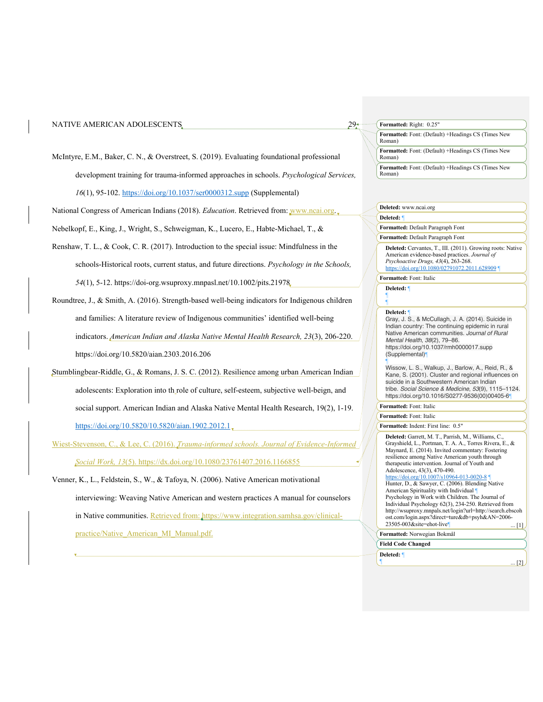| NATIVE AMERICAN ADOLESCENTS.                                                                        | 29.1 | Formatted: Right: 0.25"                                                                                                                                                |  |  |
|-----------------------------------------------------------------------------------------------------|------|------------------------------------------------------------------------------------------------------------------------------------------------------------------------|--|--|
|                                                                                                     |      | Formatted: Font: (Default) +Headings CS (Times New<br>Roman)                                                                                                           |  |  |
| McIntyre, E.M., Baker, C.N., & Overstreet, S. (2019). Evaluating foundational professional          |      | Formatted: Font: (Default) +Headings CS (Times New<br>Roman)                                                                                                           |  |  |
| development training for trauma-informed approaches in schools. Psychological Services,             |      | Formatted: Font: (Default) +Headings CS (Times New<br>Roman)                                                                                                           |  |  |
| 16(1), 95-102. https://doi.org/10.1037/ser0000312.supp (Supplemental)                               |      |                                                                                                                                                                        |  |  |
| National Congress of American Indians (2018). <i>Education</i> . Retrieved from: WWW.ncai.org.      |      | Deleted: www.ncai.org                                                                                                                                                  |  |  |
|                                                                                                     |      | Deleted:                                                                                                                                                               |  |  |
| Nebelkopf, E., King, J., Wright, S., Schweigman, K., Lucero, E., Habte-Michael, T., &               |      | Formatted: Default Paragraph Font                                                                                                                                      |  |  |
|                                                                                                     |      | Formatted: Default Paragraph Font                                                                                                                                      |  |  |
| Renshaw, T. L., & Cook, C. R. (2017). Introduction to the special issue: Mindfulness in the         |      | Deleted: Cervantes, T., III. (2011). Growing roots: Native<br>American evidence-based practices. Journal of                                                            |  |  |
| schools-Historical roots, current status, and future directions. Psychology in the Schools,         |      | Psychoactive Drugs, 43(4), 263-268.<br>https://doi.org/10.1080/02791072.2011.628909                                                                                    |  |  |
|                                                                                                     |      | Formatted: Font: Italic                                                                                                                                                |  |  |
| 54(1), 5-12. https://doi-org.wsuproxy.mnpasl.net/10.1002/pits.21978.                                |      | Deleted: ¶                                                                                                                                                             |  |  |
| Roundtree, J., & Smith, A. (2016). Strength-based well-being indicators for Indigenous children     |      |                                                                                                                                                                        |  |  |
| and families: A literature review of Indigenous communities' identified well-being                  |      | Deleted: 1<br>Gray, J. S., & McCullagh, J. A. (2014). Suicide in<br>Indian country: The continuing epidemic in rural                                                   |  |  |
| indicators. American Indian and Alaska Native Mental Health Research, 23(3), 206-220.               |      | Native American communities. Journal of Rural<br>Mental Health, 38(2), 79-86.<br>https://doi.org/10.1037/rmh0000017.supp                                               |  |  |
| https://doi.org/10.5820/aian.2303.2016.206                                                          |      | (Supplemental)                                                                                                                                                         |  |  |
| Stumblingbear-Riddle, G., & Romans, J. S. C. (2012). Resilience among urban American Indian         |      | Wissow, L. S., Walkup, J., Barlow, A., Reid, R., &<br>Kane, S. (2001). Cluster and regional influences on                                                              |  |  |
| adolescents: Exploration into th role of culture, self-esteem, subjective well-beign, and           |      | suicide in a Southwestern American Indian<br>tribe. Social Science & Medicine, 53(9), 1115-1124.<br>https://doi.org/10.1016/S0277-9536(00)00405-6                      |  |  |
| social support. American Indian and Alaska Native Mental Health Research, 19(2), 1-19.              |      | Formatted: Font: Italic                                                                                                                                                |  |  |
|                                                                                                     |      | Formatted: Font: Italic                                                                                                                                                |  |  |
| https://doi.org/10.5820/10.5820/aian.1902.2012.1                                                    |      | Formatted: Indent: First line: 0.5"                                                                                                                                    |  |  |
| Wiest-Stevenson, C., & Lee, C. (2016). <i>Trauma-informed schools. Journal of Evidence-Informed</i> |      | Deleted: Garrett, M. T., Parrish, M., Williams, C.,<br>Grayshield, L., Portman, T. A. A., Torres Rivera, E., &<br>Maynard, E. (2014). Invited commentary: Fostering    |  |  |
| Social Work, 13(5). https://dx.doi.org/10.1080/23761407.2016.1166855                                |      | resilience among Native American youth through<br>therapeutic intervention. Journal of Youth and                                                                       |  |  |
| Venner, K., L., Feldstein, S., W., & Tafoya, N. (2006). Native American motivational                |      | Adolescence, 43(3), 470-490.<br>https://doi.org/10.1007/s10964-013-0020-8<br>Hunter, D., & Sawyer, C. (2006). Blending Native<br>American Spirituality with Individual |  |  |
| interviewing: Weaving Native American and western practices A manual for counselors                 |      | Psychology in Work with Children. The Journal of<br>Individual Psychology 62(3), 234-250. Retrieved from                                                               |  |  |
| in Native communities. Retrieved from: https://www.integration.samhsa.gov/clinical-                 |      | http://wsuproxy.mnpals.net/login?url=http://search.ebscoh<br>ost.com/login.aspx?direct=ture&db+psyh&AN=2006-                                                           |  |  |

practice/Native\_American\_MI\_Manual.pdf.

http://wsuproxy.mnpals.net/login?url=http://search.ebscoh<br>ost.com/login.aspx?direct=ture&db+psyh&AN=2006-<br>23505-003&site=ehot-live¶ ... [1]

**Formatted:** Norwegian Bokmål

**Field Code Changed**

**Deleted:** ¶  $\blacksquare$  ... [2]